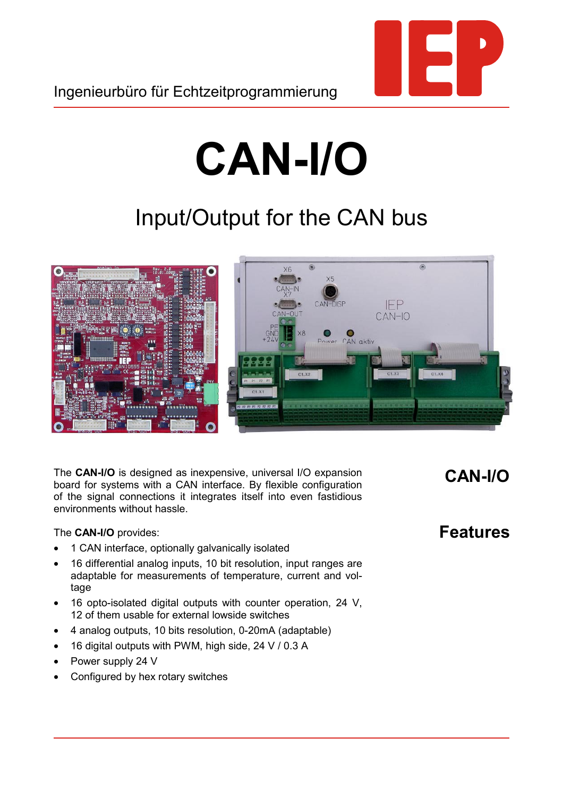## **CAN-I/O**

## Input/Output for the CAN bus



The **CAN-I/O** is designed as inexpensive, universal I/O expansion board for systems with a CAN interface. By flexible configuration of the signal connections it integrates itself into even fastidious environments without hassle.

The **CAN-I/O** provides:

- 1 CAN interface, optionally galvanically isolated
- 16 differential analog inputs, 10 bit resolution, input ranges are adaptable for measurements of temperature, current and voltage
- 16 opto-isolated digital outputs with counter operation, 24 V, 12 of them usable for external lowside switches
- 4 analog outputs, 10 bits resolution, 0-20mA (adaptable)
- 16 digital outputs with PWM, high side, 24 V / 0.3 A
- Power supply 24 V
- Configured by hex rotary switches

**Features**

**CAN-I/O**